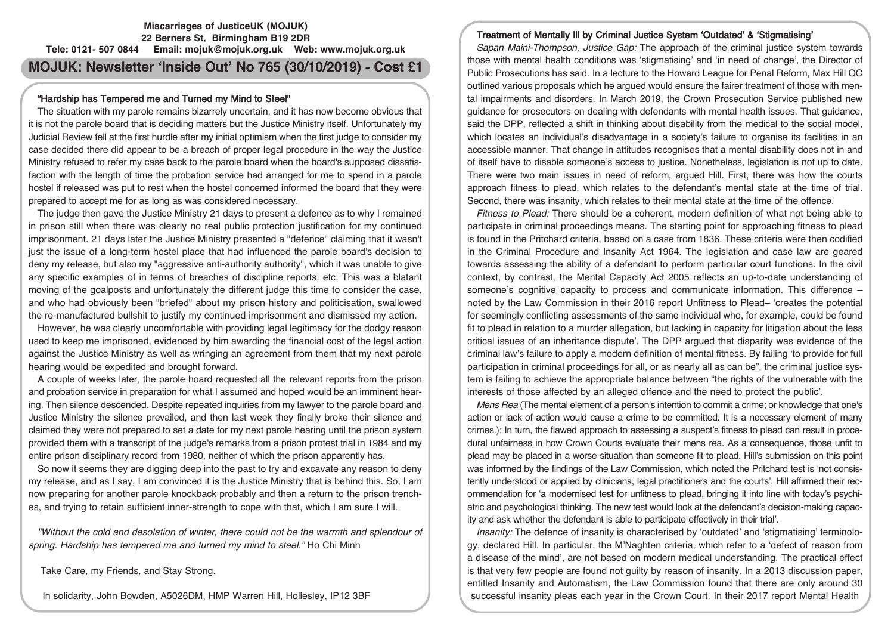## **Miscarriages of JusticeUK (MOJUK) 22 Berners St, Birmingham B19 2DR Tele: 0121- 507 0844 Email: mojuk@mojuk.org.uk Web: www.mojuk.org.uk**

# **MOJUK: Newsletter 'Inside Out' No 765 (30/10/2019) - Cost £1**

## "Hardship has Tempered me and Turned my Mind to Steel"

The situation with my parole remains bizarrely uncertain, and it has now become obvious that it is not the parole board that is deciding matters but the Justice Ministry itself. Unfortunately my Judicial Review fell at the first hurdle after my initial optimism when the first judge to consider my case decided there did appear to be a breach of proper legal procedure in the way the Justice Ministry refused to refer my case back to the parole board when the board's supposed dissatisfaction with the length of time the probation service had arranged for me to spend in a parole hostel if released was put to rest when the hostel concerned informed the board that they were prepared to accept me for as long as was considered necessary.

The judge then gave the Justice Ministry 21 days to present a defence as to why I remained in prison still when there was clearly no real public protection justification for my continued imprisonment. 21 days later the Justice Ministry presented a "defence" claiming that it wasn't just the issue of a long-term hostel place that had influenced the parole board's decision to deny my release, but also my "aggressive anti-authority authority", which it was unable to give any specific examples of in terms of breaches of discipline reports, etc. This was a blatant moving of the goalposts and unfortunately the different judge this time to consider the case, and who had obviously been "briefed" about my prison history and politicisation, swallowed the re-manufactured bullshit to justify my continued imprisonment and dismissed my action.

However, he was clearly uncomfortable with providing legal legitimacy for the dodgy reason used to keep me imprisoned, evidenced by him awarding the financial cost of the legal action against the Justice Ministry as well as wringing an agreement from them that my next parole hearing would be expedited and brought forward.

A couple of weeks later, the parole hoard requested all the relevant reports from the prison and probation service in preparation for what I assumed and hoped would be an imminent hearing. Then silence descended. Despite repeated inquiries from my lawyer to the parole board and Justice Ministry the silence prevailed, and then last week they finally broke their silence and claimed they were not prepared to set a date for my next parole hearing until the prison system provided them with a transcript of the judge's remarks from a prison protest trial in 1984 and my entire prison disciplinary record from 1980, neither of which the prison apparently has.

So now it seems they are digging deep into the past to try and excavate any reason to deny my release, and as I say, I am convinced it is the Justice Ministry that is behind this. So, I am now preparing for another parole knockback probably and then a return to the prison trenches, and trying to retain sufficient inner-strength to cope with that, which I am sure I will.

"Without the cold and desolation of winter, there could not be the warmth and splendour of spring. Hardship has tempered me and turned my mind to steel." Ho Chi Minh

Take Care, my Friends, and Stay Strong.

In solidarity, John Bowden, A5026DM, HMP Warren Hill, Hollesley, IP12 3BF

## Treatment of Mentally Ill by Criminal Justice System 'Outdated' & 'Stigmatising'

Sapan Maini-Thompson, Justice Gap: The approach of the criminal justice system towards those with mental health conditions was 'stigmatising' and 'in need of change', the Director of Public Prosecutions has said. In a lecture to the Howard League for Penal Reform, Max Hill QC outlined various proposals which he argued would ensure the fairer treatment of those with mental impairments and disorders. In March 2019, the Crown Prosecution Service published new guidance for prosecutors on dealing with defendants with mental health issues. That guidance, said the DPP, reflected a shift in thinking about disability from the medical to the social model, which locates an individual's disadvantage in a society's failure to organise its facilities in an accessible manner. That change in attitudes recognises that a mental disability does not in and of itself have to disable someone's access to justice. Nonetheless, legislation is not up to date. There were two main issues in need of reform, argued Hill. First, there was how the courts approach fitness to plead, which relates to the defendant's mental state at the time of trial. Second, there was insanity, which relates to their mental state at the time of the offence.

Fitness to Plead: There should be a coherent, modern definition of what not being able to participate in criminal proceedings means. The starting point for approaching fitness to plead is found in the Pritchard criteria, based on a case from 1836. These criteria were then codified in the Criminal Procedure and Insanity Act 1964. The legislation and case law are geared towards assessing the ability of a defendant to perform particular court functions. In the civil context, by contrast, the Mental Capacity Act 2005 reflects an up-to-date understanding of someone's cognitive capacity to process and communicate information. This difference – noted by the Law Commission in their 2016 report Unfitness to Plead– 'creates the potential for seemingly conflicting assessments of the same individual who, for example, could be found fit to plead in relation to a murder allegation, but lacking in capacity for litigation about the less critical issues of an inheritance dispute'. The DPP argued that disparity was evidence of the criminal law's failure to apply a modern definition of mental fitness. By failing 'to provide for full participation in criminal proceedings for all, or as nearly all as can be", the criminal justice system is failing to achieve the appropriate balance between "the rights of the vulnerable with the interests of those affected by an alleged offence and the need to protect the public'.

Mens Rea (The mental element of a person's intention to commit a crime; or knowledge that one's action or lack of action would cause a crime to be committed. It is a necessary element of many crimes.): In turn, the flawed approach to assessing a suspect's fitness to plead can result in procedural unfairness in how Crown Courts evaluate their mens rea. As a consequence, those unfit to plead may be placed in a worse situation than someone fit to plead. Hill's submission on this point was informed by the findings of the Law Commission, which noted the Pritchard test is 'not consistently understood or applied by clinicians, legal practitioners and the courts'. Hill affirmed their recommendation for 'a modernised test for unfitness to plead, bringing it into line with today's psychiatric and psychological thinking. The new test would look at the defendant's decision-making capacity and ask whether the defendant is able to participate effectively in their trial'.

Insanity: The defence of insanity is characterised by 'outdated' and 'stigmatising' terminology, declared Hill. In particular, the M'Naghten criteria, which refer to a 'defect of reason from a disease of the mind', are not based on modern medical understanding. The practical effect is that very few people are found not guilty by reason of insanity. In a 2013 discussion paper, entitled Insanity and Automatism, the Law Commission found that there are only around 30 successful insanity pleas each year in the Crown Court. In their 2017 report Mental Health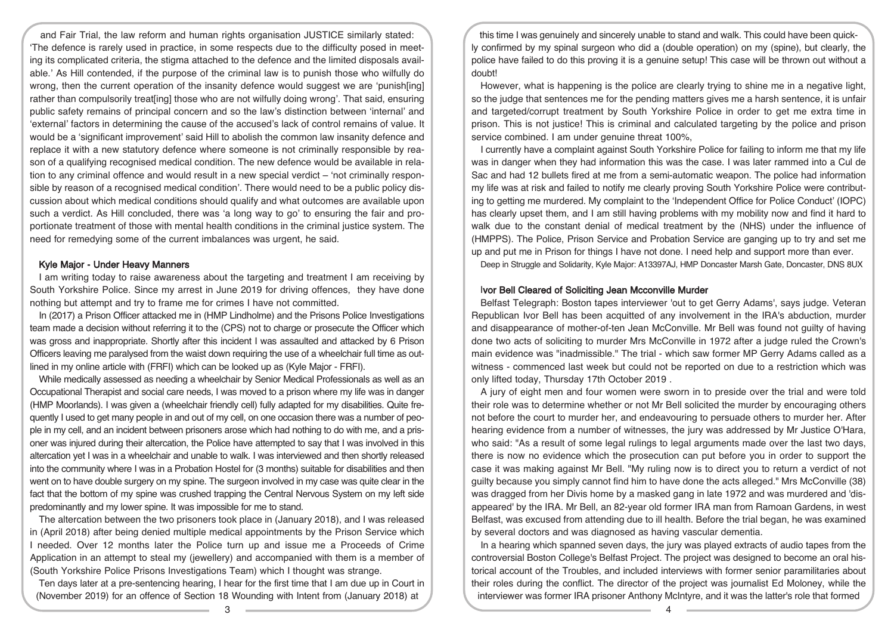and Fair Trial, the law reform and human rights organisation JUSTICE similarly stated: 'The defence is rarely used in practice, in some respects due to the difficulty posed in meeting its complicated criteria, the stigma attached to the defence and the limited disposals available.' As Hill contended, if the purpose of the criminal law is to punish those who wilfully do wrong, then the current operation of the insanity defence would suggest we are 'punish[ing] rather than compulsorily treat[ing] those who are not wilfully doing wrong'. That said, ensuring public safety remains of principal concern and so the law's distinction between 'internal' and 'external' factors in determining the cause of the accused's lack of control remains of value. It would be a 'significant improvement' said Hill to abolish the common law insanity defence and replace it with a new statutory defence where someone is not criminally responsible by reason of a qualifying recognised medical condition. The new defence would be available in relation to any criminal offence and would result in a new special verdict – 'not criminally responsible by reason of a recognised medical condition'. There would need to be a public policy discussion about which medical conditions should qualify and what outcomes are available upon such a verdict. As Hill concluded, there was 'a long way to go' to ensuring the fair and proportionate treatment of those with mental health conditions in the criminal justice system. The need for remedying some of the current imbalances was urgent, he said.

#### Kyle Major - Under Heavy Manners

I am writing today to raise awareness about the targeting and treatment I am receiving by South Yorkshire Police. Since my arrest in June 2019 for driving offences, they have done nothing but attempt and try to frame me for crimes I have not committed.

In (2017) a Prison Officer attacked me in (HMP Lindholme) and the Prisons Police Investigations team made a decision without referring it to the (CPS) not to charge or prosecute the Officer which was gross and inappropriate. Shortly after this incident I was assaulted and attacked by 6 Prison Officers leaving me paralysed from the waist down requiring the use of a wheelchair full time as outlined in my online article with (FRFI) which can be looked up as (Kyle Major - FRFI).

While medically assessed as needing a wheelchair by Senior Medical Professionals as well as an Occupational Therapist and social care needs, I was moved to a prison where my life was in danger (HMP Moorlands). I was given a (wheelchair friendly cell) fully adapted for my disabilities. Quite frequently I used to get many people in and out of my cell, on one occasion there was a number of people in my cell, and an incident between prisoners arose which had nothing to do with me, and a prisoner was injured during their altercation, the Police have attempted to say that I was involved in this altercation yet I was in a wheelchair and unable to walk. I was interviewed and then shortly released into the community where I was in a Probation Hostel for (3 months) suitable for disabilities and then went on to have double surgery on my spine. The surgeon involved in my case was quite clear in the fact that the bottom of my spine was crushed trapping the Central Nervous System on my left side predominantly and my lower spine. It was impossible for me to stand.

The altercation between the two prisoners took place in (January 2018), and I was released in (April 2018) after being denied multiple medical appointments by the Prison Service which I needed. Over 12 months later the Police turn up and issue me a Proceeds of Crime Application in an attempt to steal my (jewellery) and accompanied with them is a member of (South Yorkshire Police Prisons Investigations Team) which I thought was strange.

Ten days later at a pre-sentencing hearing, I hear for the first time that I am due up in Court in (November 2019) for an offence of Section 18 Wounding with Intent from (January 2018) at

this time I was genuinely and sincerely unable to stand and walk. This could have been quickly confirmed by my spinal surgeon who did a (double operation) on my (spine), but clearly, the police have failed to do this proving it is a genuine setup! This case will be thrown out without a doubt!

However, what is happening is the police are clearly trying to shine me in a negative light, so the judge that sentences me for the pending matters gives me a harsh sentence, it is unfair and targeted/corrupt treatment by South Yorkshire Police in order to get me extra time in prison. This is not justice! This is criminal and calculated targeting by the police and prison service combined. I am under genuine threat 100%,

I currently have a complaint against South Yorkshire Police for failing to inform me that my life was in danger when they had information this was the case. I was later rammed into a Cul de Sac and had 12 bullets fired at me from a semi-automatic weapon. The police had information my life was at risk and failed to notify me clearly proving South Yorkshire Police were contributing to getting me murdered. My complaint to the 'Independent Office for Police Conduct' (IOPC) has clearly upset them, and I am still having problems with my mobility now and find it hard to walk due to the constant denial of medical treatment by the (NHS) under the influence of (HMPPS). The Police, Prison Service and Probation Service are ganging up to try and set me up and put me in Prison for things I have not done. I need help and support more than ever.

Deep in Struggle and Solidarity, Kyle Major: A13397AJ, HMP Doncaster Marsh Gate, Doncaster, DNS 8UX

## Ivor Bell Cleared of Soliciting Jean Mcconville Murder

Belfast Telegraph: Boston tapes interviewer 'out to get Gerry Adams', says judge. Veteran Republican Ivor Bell has been acquitted of any involvement in the IRA's abduction, murder and disappearance of mother-of-ten Jean McConville. Mr Bell was found not guilty of having done two acts of soliciting to murder Mrs McConville in 1972 after a judge ruled the Crown's main evidence was "inadmissible." The trial - which saw former MP Gerry Adams called as a witness - commenced last week but could not be reported on due to a restriction which was only lifted today, Thursday 17th October 2019 .

A jury of eight men and four women were sworn in to preside over the trial and were told their role was to determine whether or not Mr Bell solicited the murder by encouraging others not before the court to murder her, and endeavouring to persuade others to murder her. After hearing evidence from a number of witnesses, the jury was addressed by Mr Justice O'Hara, who said: "As a result of some legal rulings to legal arguments made over the last two days, there is now no evidence which the prosecution can put before you in order to support the case it was making against Mr Bell. "My ruling now is to direct you to return a verdict of not guilty because you simply cannot find him to have done the acts alleged." Mrs McConville (38) was dragged from her Divis home by a masked gang in late 1972 and was murdered and 'disappeared' by the IRA. Mr Bell, an 82-year old former IRA man from Ramoan Gardens, in west Belfast, was excused from attending due to ill health. Before the trial began, he was examined by several doctors and was diagnosed as having vascular dementia.

In a hearing which spanned seven days, the jury was played extracts of audio tapes from the controversial Boston College's Belfast Project. The project was designed to become an oral historical account of the Troubles, and included interviews with former senior paramilitaries about their roles during the conflict. The director of the project was journalist Ed Moloney, while the interviewer was former IRA prisoner Anthony McIntyre, and it was the latter's role that formed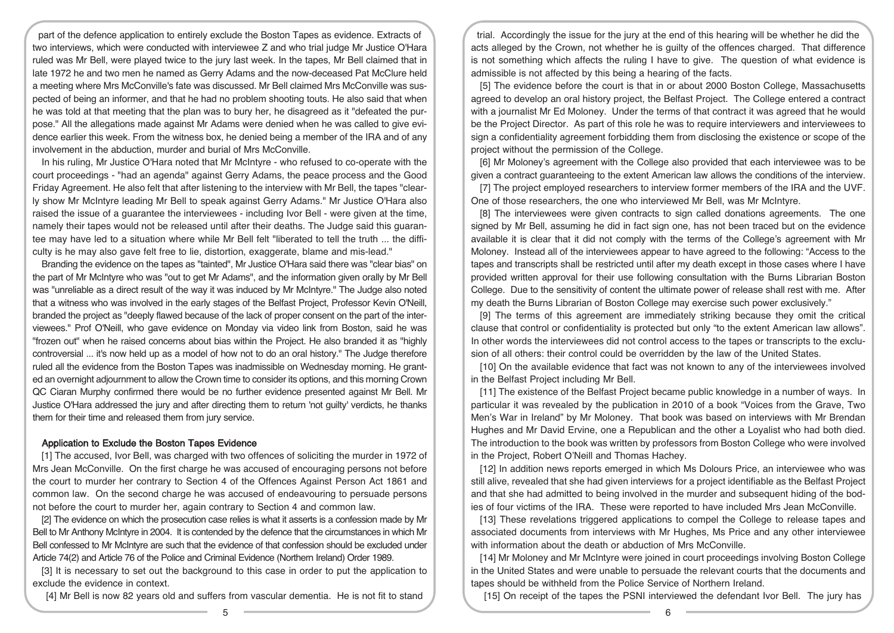part of the defence application to entirely exclude the Boston Tapes as evidence. Extracts of two interviews, which were conducted with interviewee Z and who trial judge Mr Justice O'Hara ruled was Mr Bell, were played twice to the jury last week. In the tapes, Mr Bell claimed that in late 1972 he and two men he named as Gerry Adams and the now-deceased Pat McClure held a meeting where Mrs McConville's fate was discussed. Mr Bell claimed Mrs McConville was suspected of being an informer, and that he had no problem shooting touts. He also said that when he was told at that meeting that the plan was to bury her, he disagreed as it "defeated the purpose." All the allegations made against Mr Adams were denied when he was called to give evidence earlier this week. From the witness box, he denied being a member of the IRA and of any involvement in the abduction, murder and burial of Mrs McConville.

In his ruling, Mr Justice O'Hara noted that Mr McIntyre - who refused to co-operate with the court proceedings - "had an agenda" against Gerry Adams, the peace process and the Good Friday Agreement. He also felt that after listening to the interview with Mr Bell, the tapes "clearly show Mr McIntyre leading Mr Bell to speak against Gerry Adams." Mr Justice O'Hara also raised the issue of a guarantee the interviewees - including Ivor Bell - were given at the time, namely their tapes would not be released until after their deaths. The Judge said this guarantee may have led to a situation where while Mr Bell felt "liberated to tell the truth ... the difficulty is he may also gave felt free to lie, distortion, exaggerate, blame and mis-lead."

Branding the evidence on the tapes as "tainted", Mr Justice O'Hara said there was "clear bias" on the part of Mr McIntyre who was "out to get Mr Adams", and the information given orally by Mr Bell was "unreliable as a direct result of the way it was induced by Mr McIntyre." The Judge also noted that a witness who was involved in the early stages of the Belfast Project, Professor Kevin O'Neill, branded the project as "deeply flawed because of the lack of proper consent on the part of the interviewees." Prof O'Neill, who gave evidence on Monday via video link from Boston, said he was "frozen out" when he raised concerns about bias within the Project. He also branded it as "highly controversial ... it's now held up as a model of how not to do an oral history." The Judge therefore ruled all the evidence from the Boston Tapes was inadmissible on Wednesday morning. He granted an overnight adjournment to allow the Crown time to consider its options, and this morning Crown QC Ciaran Murphy confirmed there would be no further evidence presented against Mr Bell. Mr Justice O'Hara addressed the jury and after directing them to return 'not guilty' verdicts, he thanks them for their time and released them from jury service.

#### Application to Exclude the Boston Tapes Evidence

[1] The accused, Ivor Bell, was charged with two offences of soliciting the murder in 1972 of Mrs Jean McConville. On the first charge he was accused of encouraging persons not before the court to murder her contrary to Section 4 of the Offences Against Person Act 1861 and common law. On the second charge he was accused of endeavouring to persuade persons not before the court to murder her, again contrary to Section 4 and common law.

[2] The evidence on which the prosecution case relies is what it asserts is a confession made by Mr Bell to Mr Anthony McIntyre in 2004. It is contended by the defence that the circumstances in which Mr Bell confessed to Mr McIntyre are such that the evidence of that confession should be excluded under Article 74(2) and Article 76 of the Police and Criminal Evidence (Northern Ireland) Order 1989.

[3] It is necessary to set out the background to this case in order to put the application to exclude the evidence in context.

[4] Mr Bell is now 82 years old and suffers from vascular dementia. He is not fit to stand

trial. Accordingly the issue for the jury at the end of this hearing will be whether he did the acts alleged by the Crown, not whether he is guilty of the offences charged. That difference is not something which affects the ruling I have to give. The question of what evidence is admissible is not affected by this being a hearing of the facts.

[5] The evidence before the court is that in or about 2000 Boston College, Massachusetts agreed to develop an oral history project, the Belfast Project. The College entered a contract with a journalist Mr Ed Moloney. Under the terms of that contract it was agreed that he would be the Project Director. As part of this role he was to require interviewers and interviewees to sign a confidentiality agreement forbidding them from disclosing the existence or scope of the project without the permission of the College.

[6] Mr Moloney's agreement with the College also provided that each interviewee was to be given a contract guaranteeing to the extent American law allows the conditions of the interview.

[7] The project employed researchers to interview former members of the IRA and the UVF. One of those researchers, the one who interviewed Mr Bell, was Mr McIntyre.

[8] The interviewees were given contracts to sign called donations agreements. The one signed by Mr Bell, assuming he did in fact sign one, has not been traced but on the evidence available it is clear that it did not comply with the terms of the College's agreement with Mr Moloney. Instead all of the interviewees appear to have agreed to the following: "Access to the tapes and transcripts shall be restricted until after my death except in those cases where I have provided written approval for their use following consultation with the Burns Librarian Boston College. Due to the sensitivity of content the ultimate power of release shall rest with me. After my death the Burns Librarian of Boston College may exercise such power exclusively."

[9] The terms of this agreement are immediately striking because they omit the critical clause that control or confidentiality is protected but only "to the extent American law allows". In other words the interviewees did not control access to the tapes or transcripts to the exclusion of all others: their control could be overridden by the law of the United States.

[10] On the available evidence that fact was not known to any of the interviewees involved in the Belfast Project including Mr Bell.

[11] The existence of the Belfast Project became public knowledge in a number of ways. In particular it was revealed by the publication in 2010 of a book "Voices from the Grave, Two Men's War in Ireland" by Mr Moloney. That book was based on interviews with Mr Brendan Hughes and Mr David Ervine, one a Republican and the other a Loyalist who had both died. The introduction to the book was written by professors from Boston College who were involved in the Project, Robert O'Neill and Thomas Hachey.

[12] In addition news reports emerged in which Ms Dolours Price, an interviewee who was still alive, revealed that she had given interviews for a project identifiable as the Belfast Project and that she had admitted to being involved in the murder and subsequent hiding of the bodies of four victims of the IRA. These were reported to have included Mrs Jean McConville.

[13] These revelations triggered applications to compel the College to release tapes and associated documents from interviews with Mr Hughes, Ms Price and any other interviewee with information about the death or abduction of Mrs McConville.

[14] Mr Moloney and Mr McIntyre were joined in court proceedings involving Boston College in the United States and were unable to persuade the relevant courts that the documents and tapes should be withheld from the Police Service of Northern Ireland.

[15] On receipt of the tapes the PSNI interviewed the defendant Ivor Bell. The jury has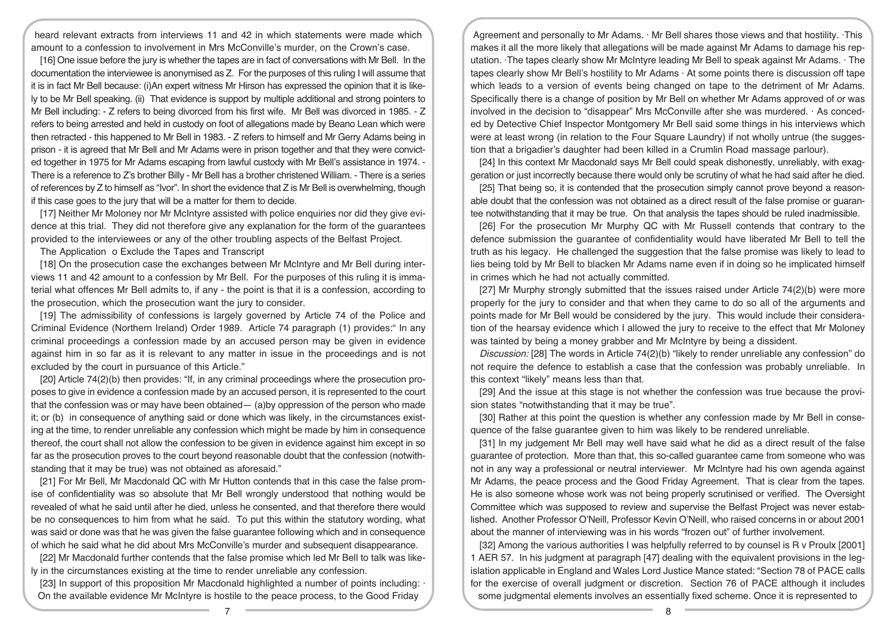heard relevant extracts from interviews 11 and 42 in which statements were made which amount to a confession to involvement in Mrs McConville's murder, on the Crown's case.

[16] One issue before the jury is whether the tapes are in fact of conversations with Mr Bell. In the documentation the interviewee is anonymised as Z. For the purposes of this ruling I will assume that it is in fact Mr Bell because: (i)An expert witness Mr Hirson has expressed the opinion that it is likely to be Mr Bell speaking. (ii) That evidence is support by multiple additional and strong pointers to Mr Bell including: - Z refers to being divorced from his first wife. Mr Bell was divorced in 1985. - Z refers to being arrested and held in custody on foot of allegations made by Beano Lean which were then retracted - this happened to Mr Bell in 1983. - Z refers to himself and Mr Gerry Adams being in prison - it is agreed that Mr Bell and Mr Adams were in prison together and that they were convicted together in 1975 for Mr Adams escaping from lawful custody with Mr Bell's assistance in 1974. - There is a reference to Z's brother Billy - Mr Bell has a brother christened William. - There is a series of references by Z to himself as "Ivor". In short the evidence that Z is Mr Bell is overwhelming, though if this case goes to the jury that will be a matter for them to decide.

[17] Neither Mr Moloney nor Mr McIntyre assisted with police enquiries nor did they give evidence at this trial. They did not therefore give any explanation for the form of the guarantees provided to the interviewees or any of the other troubling aspects of the Belfast Project.

The Application o Exclude the Tapes and Transcript

[18] On the prosecution case the exchanges between Mr McIntyre and Mr Bell during interviews 11 and 42 amount to a confession by Mr Bell. For the purposes of this ruling it is immaterial what offences Mr Bell admits to, if any - the point is that it is a confession, according to the prosecution, which the prosecution want the jury to consider.

[19] The admissibility of confessions is largely governed by Article 74 of the Police and Criminal Evidence (Northern Ireland) Order 1989. Article 74 paragraph (1) provides:" In any criminal proceedings a confession made by an accused person may be given in evidence against him in so far as it is relevant to any matter in issue in the proceedings and is not excluded by the court in pursuance of this Article."

[20] Article 74(2)(b) then provides: "If, in any criminal proceedings where the prosecution proposes to give in evidence a confession made by an accused person, it is represented to the court that the confession was or may have been obtained— (a)by oppression of the person who made it; or (b) in consequence of anything said or done which was likely, in the circumstances existing at the time, to render unreliable any confession which might be made by him in consequence thereof, the court shall not allow the confession to be given in evidence against him except in so far as the prosecution proves to the court beyond reasonable doubt that the confession (notwithstanding that it may be true) was not obtained as aforesaid."

[21] For Mr Bell, Mr Macdonald QC with Mr Hutton contends that in this case the false promise of confidentiality was so absolute that Mr Bell wrongly understood that nothing would be revealed of what he said until after he died, unless he consented, and that therefore there would be no consequences to him from what he said. To put this within the statutory wording, what was said or done was that he was given the false guarantee following which and in consequence of which he said what he did about Mrs McConville's murder and subsequent disappearance.

[22] Mr Macdonald further contends that the false promise which led Mr Bell to talk was likely in the circumstances existing at the time to render unreliable any confession.

[23] In support of this proposition Mr Macdonald highlighted a number of points including:  $\cdot$ On the available evidence Mr McIntyre is hostile to the peace process, to the Good Friday

Agreement and personally to Mr Adams. · Mr Bell shares those views and that hostility. ·This makes it all the more likely that allegations will be made against Mr Adams to damage his reputation. ·The tapes clearly show Mr McIntyre leading Mr Bell to speak against Mr Adams. · The tapes clearly show Mr Bell's hostility to Mr Adams · At some points there is discussion off tape which leads to a version of events being changed on tape to the detriment of Mr Adams. Specifically there is a change of position by Mr Bell on whether Mr Adams approved of or was involved in the decision to "disappear" Mrs McConville after she was murdered. · As conceded by Detective Chief Inspector Montgomery Mr Bell said some things in his interviews which were at least wrong (in relation to the Four Square Laundry) if not wholly untrue (the suggestion that a brigadier's daughter had been killed in a Crumlin Road massage parlour).

[24] In this context Mr Macdonald says Mr Bell could speak dishonestly, unreliably, with exaggeration or just incorrectly because there would only be scrutiny of what he had said after he died.

[25] That being so, it is contended that the prosecution simply cannot prove beyond a reasonable doubt that the confession was not obtained as a direct result of the false promise or guarantee notwithstanding that it may be true. On that analysis the tapes should be ruled inadmissible.

[26] For the prosecution Mr Murphy QC with Mr Russell contends that contrary to the defence submission the guarantee of confidentiality would have liberated Mr Bell to tell the truth as his legacy. He challenged the suggestion that the false promise was likely to lead to lies being told by Mr Bell to blacken Mr Adams name even if in doing so he implicated himself in crimes which he had not actually committed.

[27] Mr Murphy strongly submitted that the issues raised under Article 74(2)(b) were more properly for the jury to consider and that when they came to do so all of the arguments and points made for Mr Bell would be considered by the jury. This would include their consideration of the hearsay evidence which I allowed the jury to receive to the effect that Mr Moloney was tainted by being a money grabber and Mr McIntyre by being a dissident.

Discussion: [28] The words in Article 74(2)(b) "likely to render unreliable any confession" do not require the defence to establish a case that the confession was probably unreliable. In this context "likely" means less than that.

[29] And the issue at this stage is not whether the confession was true because the provision states "notwithstanding that it may be true".

[30] Rather at this point the question is whether any confession made by Mr Bell in consequence of the false guarantee given to him was likely to be rendered unreliable.

[31] In my judgement Mr Bell may well have said what he did as a direct result of the false guarantee of protection. More than that, this so-called guarantee came from someone who was not in any way a professional or neutral interviewer. Mr McIntyre had his own agenda against Mr Adams, the peace process and the Good Friday Agreement. That is clear from the tapes. He is also someone whose work was not being properly scrutinised or verified. The Oversight Committee which was supposed to review and supervise the Belfast Project was never established. Another Professor O'Neill, Professor Kevin O'Neill, who raised concerns in or about 2001 about the manner of interviewing was in his words "frozen out" of further involvement.

[32] Among the various authorities I was helpfully referred to by counsel is R v Proulx [2001] 1 AER 57. In his judgment at paragraph [47] dealing with the equivalent provisions in the legislation applicable in England and Wales Lord Justice Mance stated: "Section 78 of PACE calls for the exercise of overall judgment or discretion. Section 76 of PACE although it includes some judgmental elements involves an essentially fixed scheme. Once it is represented to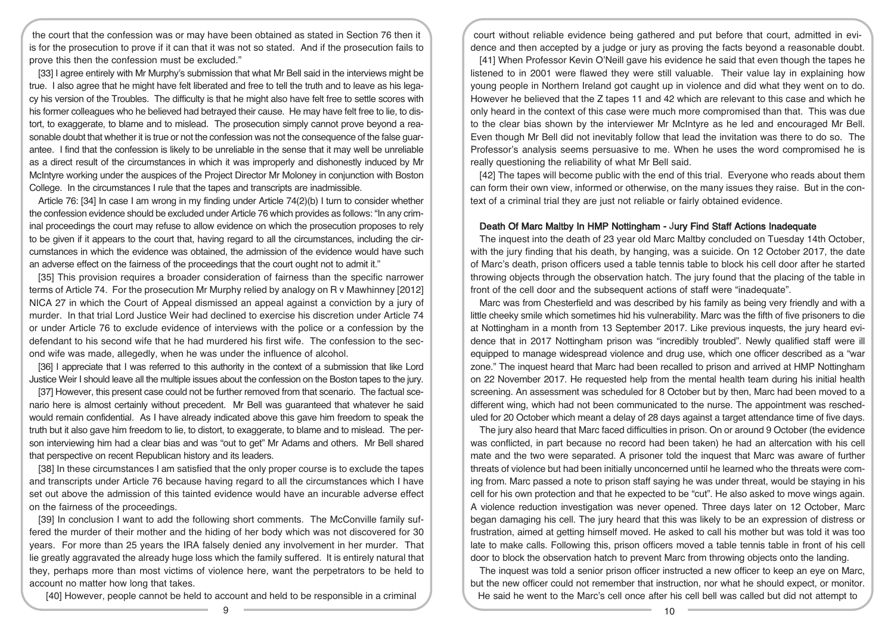the court that the confession was or may have been obtained as stated in Section 76 then it is for the prosecution to prove if it can that it was not so stated. And if the prosecution fails to prove this then the confession must be excluded."

[33] I agree entirely with Mr Murphy's submission that what Mr Bell said in the interviews might be true. I also agree that he might have felt liberated and free to tell the truth and to leave as his legacy his version of the Troubles. The difficulty is that he might also have felt free to settle scores with his former colleagues who he believed had betrayed their cause. He may have felt free to lie, to distort, to exaggerate, to blame and to mislead. The prosecution simply cannot prove beyond a reasonable doubt that whether it is true or not the confession was not the consequence of the false guarantee. I find that the confession is likely to be unreliable in the sense that it may well be unreliable as a direct result of the circumstances in which it was improperly and dishonestly induced by Mr McIntyre working under the auspices of the Project Director Mr Moloney in conjunction with Boston College. In the circumstances I rule that the tapes and transcripts are inadmissible.

Article 76: [34] In case I am wrong in my finding under Article 74(2)(b) I turn to consider whether the confession evidence should be excluded under Article 76 which provides as follows: "In any criminal proceedings the court may refuse to allow evidence on which the prosecution proposes to rely to be given if it appears to the court that, having regard to all the circumstances, including the circumstances in which the evidence was obtained, the admission of the evidence would have such an adverse effect on the fairness of the proceedings that the court ought not to admit it."

[35] This provision requires a broader consideration of fairness than the specific narrower terms of Article 74. For the prosecution Mr Murphy relied by analogy on R v Mawhinney [2012] NICA 27 in which the Court of Appeal dismissed an appeal against a conviction by a jury of murder. In that trial Lord Justice Weir had declined to exercise his discretion under Article 74 or under Article 76 to exclude evidence of interviews with the police or a confession by the defendant to his second wife that he had murdered his first wife. The confession to the second wife was made, allegedly, when he was under the influence of alcohol.

[36] I appreciate that I was referred to this authority in the context of a submission that like Lord Justice Weir I should leave all the multiple issues about the confession on the Boston tapes to the jury.

[37] However, this present case could not be further removed from that scenario. The factual scenario here is almost certainly without precedent. Mr Bell was guaranteed that whatever he said would remain confidential. As I have already indicated above this gave him freedom to speak the truth but it also gave him freedom to lie, to distort, to exaggerate, to blame and to mislead. The person interviewing him had a clear bias and was "out to get" Mr Adams and others. Mr Bell shared that perspective on recent Republican history and its leaders.

[38] In these circumstances I am satisfied that the only proper course is to exclude the tapes and transcripts under Article 76 because having regard to all the circumstances which I have set out above the admission of this tainted evidence would have an incurable adverse effect on the fairness of the proceedings.

[39] In conclusion I want to add the following short comments. The McConville family suffered the murder of their mother and the hiding of her body which was not discovered for 30 years. For more than 25 years the IRA falsely denied any involvement in her murder. That lie greatly aggravated the already huge loss which the family suffered. It is entirely natural that they, perhaps more than most victims of violence here, want the perpetrators to be held to account no matter how long that takes.

[40] However, people cannot be held to account and held to be responsible in a criminal

court without reliable evidence being gathered and put before that court, admitted in evidence and then accepted by a judge or jury as proving the facts beyond a reasonable doubt.

[41] When Professor Kevin O'Neill gave his evidence he said that even though the tapes he listened to in 2001 were flawed they were still valuable. Their value lay in explaining how young people in Northern Ireland got caught up in violence and did what they went on to do. However he believed that the Z tapes 11 and 42 which are relevant to this case and which he only heard in the context of this case were much more compromised than that. This was due to the clear bias shown by the interviewer Mr McIntyre as he led and encouraged Mr Bell. Even though Mr Bell did not inevitably follow that lead the invitation was there to do so. The Professor's analysis seems persuasive to me. When he uses the word compromised he is really questioning the reliability of what Mr Bell said.

[42] The tapes will become public with the end of this trial. Everyone who reads about them can form their own view, informed or otherwise, on the many issues they raise. But in the context of a criminal trial they are just not reliable or fairly obtained evidence.

#### Death Of Marc Maltby In HMP Nottingham - Jury Find Staff Actions Inadequate

The inquest into the death of 23 year old Marc Maltby concluded on Tuesday 14th October, with the jury finding that his death, by hanging, was a suicide. On 12 October 2017, the date of Marc's death, prison officers used a table tennis table to block his cell door after he started throwing objects through the observation hatch. The jury found that the placing of the table in front of the cell door and the subsequent actions of staff were "inadequate".

Marc was from Chesterfield and was described by his family as being very friendly and with a little cheeky smile which sometimes hid his vulnerability. Marc was the fifth of five prisoners to die at Nottingham in a month from 13 September 2017. Like previous inquests, the jury heard evidence that in 2017 Nottingham prison was "incredibly troubled". Newly qualified staff were ill equipped to manage widespread violence and drug use, which one officer described as a "war zone." The inquest heard that Marc had been recalled to prison and arrived at HMP Nottingham on 22 November 2017. He requested help from the mental health team during his initial health screening. An assessment was scheduled for 8 October but by then, Marc had been moved to a different wing, which had not been communicated to the nurse. The appointment was rescheduled for 20 October which meant a delay of 28 days against a target attendance time of five days.

The jury also heard that Marc faced difficulties in prison. On or around 9 October (the evidence was conflicted, in part because no record had been taken) he had an altercation with his cell mate and the two were separated. A prisoner told the inquest that Marc was aware of further threats of violence but had been initially unconcerned until he learned who the threats were coming from. Marc passed a note to prison staff saying he was under threat, would be staying in his cell for his own protection and that he expected to be "cut". He also asked to move wings again. A violence reduction investigation was never opened. Three days later on 12 October, Marc began damaging his cell. The jury heard that this was likely to be an expression of distress or frustration, aimed at getting himself moved. He asked to call his mother but was told it was too late to make calls. Following this, prison officers moved a table tennis table in front of his cell door to block the observation hatch to prevent Marc from throwing objects onto the landing.

The inquest was told a senior prison officer instructed a new officer to keep an eye on Marc. but the new officer could not remember that instruction, nor what he should expect, or monitor. He said he went to the Marc's cell once after his cell bell was called but did not attempt to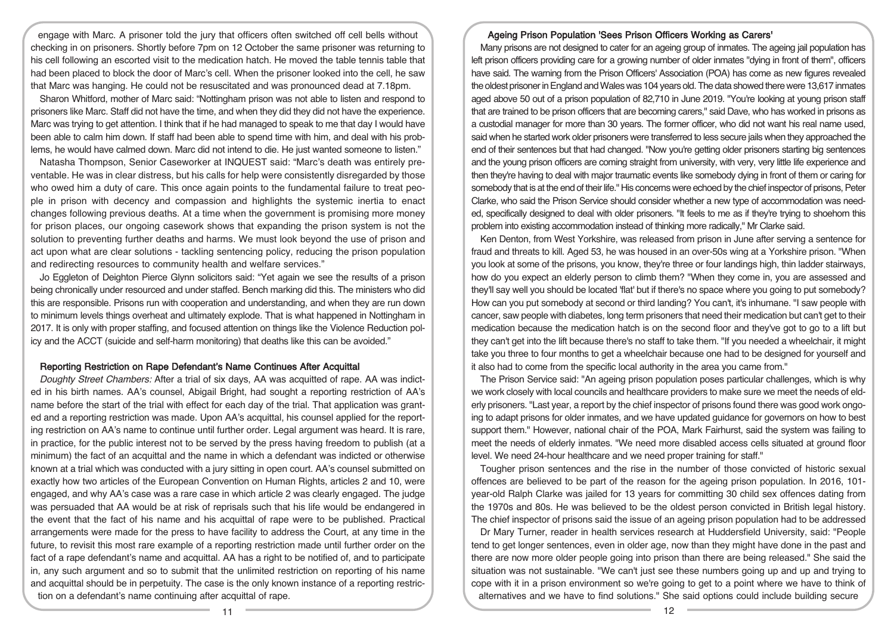engage with Marc. A prisoner told the jury that officers often switched off cell bells without checking in on prisoners. Shortly before 7pm on 12 October the same prisoner was returning to his cell following an escorted visit to the medication hatch. He moved the table tennis table that had been placed to block the door of Marc's cell. When the prisoner looked into the cell, he saw that Marc was hanging. He could not be resuscitated and was pronounced dead at 7.18pm.

Sharon Whitford, mother of Marc said: "Nottingham prison was not able to listen and respond to prisoners like Marc. Staff did not have the time, and when they did they did not have the experience. Marc was trying to get attention. I think that if he had managed to speak to me that day I would have been able to calm him down. If staff had been able to spend time with him, and deal with his problems, he would have calmed down. Marc did not intend to die. He just wanted someone to listen."

Natasha Thompson, Senior Caseworker at INQUEST said: "Marc's death was entirely preventable. He was in clear distress, but his calls for help were consistently disregarded by those who owed him a duty of care. This once again points to the fundamental failure to treat people in prison with decency and compassion and highlights the systemic inertia to enact changes following previous deaths. At a time when the government is promising more money for prison places, our ongoing casework shows that expanding the prison system is not the solution to preventing further deaths and harms. We must look beyond the use of prison and act upon what are clear solutions - tackling sentencing policy, reducing the prison population and redirecting resources to community health and welfare services."

Jo Eggleton of Deighton Pierce Glynn solicitors said: "Yet again we see the results of a prison being chronically under resourced and under staffed. Bench marking did this. The ministers who did this are responsible. Prisons run with cooperation and understanding, and when they are run down to minimum levels things overheat and ultimately explode. That is what happened in Nottingham in 2017. It is only with proper staffing, and focused attention on things like the Violence Reduction policy and the ACCT (suicide and self-harm monitoring) that deaths like this can be avoided."

#### Reporting Restriction on Rape Defendant's Name Continues After Acquittal

Doughty Street Chambers: After a trial of six days, AA was acquitted of rape. AA was indicted in his birth names. AA's counsel, Abigail Bright, had sought a reporting restriction of AA's name before the start of the trial with effect for each day of the trial. That application was granted and a reporting restriction was made. Upon AA's acquittal, his counsel applied for the reporting restriction on AA's name to continue until further order. Legal argument was heard. It is rare, in practice, for the public interest not to be served by the press having freedom to publish (at a minimum) the fact of an acquittal and the name in which a defendant was indicted or otherwise known at a trial which was conducted with a jury sitting in open court. AA's counsel submitted on exactly how two articles of the European Convention on Human Rights, articles 2 and 10, were engaged, and why AA's case was a rare case in which article 2 was clearly engaged. The judge was persuaded that AA would be at risk of reprisals such that his life would be endangered in the event that the fact of his name and his acquittal of rape were to be published. Practical arrangements were made for the press to have facility to address the Court, at any time in the future, to revisit this most rare example of a reporting restriction made until further order on the fact of a rape defendant's name and acquittal. AA has a right to be notified of, and to participate in, any such argument and so to submit that the unlimited restriction on reporting of his name and acquittal should be in perpetuity. The case is the only known instance of a reporting restriction on a defendant's name continuing after acquittal of rape.

## Ageing Prison Population 'Sees Prison Officers Working as Carers'

Many prisons are not designed to cater for an ageing group of inmates. The ageing jail population has left prison officers providing care for a growing number of older inmates "dying in front of them", officers have said. The warning from the Prison Officers' Association (POA) has come as new figures revealed the oldest prisoner in England and Wales was 104 years old. The data showed there were 13,617 inmates aged above 50 out of a prison population of 82,710 in June 2019. "You're looking at young prison staff that are trained to be prison officers that are becoming carers," said Dave, who has worked in prisons as a custodial manager for more than 30 years. The former officer, who did not want his real name used, said when he started work older prisoners were transferred to less secure jails when they approached the end of their sentences but that had changed. "Now you're getting older prisoners starting big sentences and the young prison officers are coming straight from university, with very, very little life experience and then they're having to deal with major traumatic events like somebody dying in front of them or caring for somebody that is at the end of their life." His concerns were echoed by the chief inspector of prisons, Peter Clarke, who said the Prison Service should consider whether a new type of accommodation was needed, specifically designed to deal with older prisoners. "It feels to me as if they're trying to shoehorn this problem into existing accommodation instead of thinking more radically," Mr Clarke said.

Ken Denton, from West Yorkshire, was released from prison in June after serving a sentence for fraud and threats to kill. Aged 53, he was housed in an over-50s wing at a Yorkshire prison. "When you look at some of the prisons, you know, they're three or four landings high, thin ladder stairways, how do you expect an elderly person to climb them? "When they come in, you are assessed and they'll say well you should be located 'flat' but if there's no space where you going to put somebody? How can you put somebody at second or third landing? You can't, it's inhumane. "I saw people with cancer, saw people with diabetes, long term prisoners that need their medication but can't get to their medication because the medication hatch is on the second floor and they've got to go to a lift but they can't get into the lift because there's no staff to take them. "If you needed a wheelchair, it might take you three to four months to get a wheelchair because one had to be designed for yourself and it also had to come from the specific local authority in the area you came from."

The Prison Service said: "An ageing prison population poses particular challenges, which is why we work closely with local councils and healthcare providers to make sure we meet the needs of elderly prisoners. "Last year, a report by the chief inspector of prisons found there was good work ongoing to adapt prisons for older inmates, and we have updated guidance for governors on how to best support them." However, national chair of the POA, Mark Fairhurst, said the system was failing to meet the needs of elderly inmates. "We need more disabled access cells situated at ground floor level. We need 24-hour healthcare and we need proper training for staff."

Tougher prison sentences and the rise in the number of those convicted of historic sexual offences are believed to be part of the reason for the ageing prison population. In 2016, 101 year-old Ralph Clarke was jailed for 13 years for committing 30 child sex offences dating from the 1970s and 80s. He was believed to be the oldest person convicted in British legal history. The chief inspector of prisons said the issue of an ageing prison population had to be addressed

Dr Mary Turner, reader in health services research at Huddersfield University, said: "People tend to get longer sentences, even in older age, now than they might have done in the past and there are now more older people going into prison than there are being released." She said the situation was not sustainable. "We can't just see these numbers going up and up and trying to cope with it in a prison environment so we're going to get to a point where we have to think of alternatives and we have to find solutions." She said options could include building secure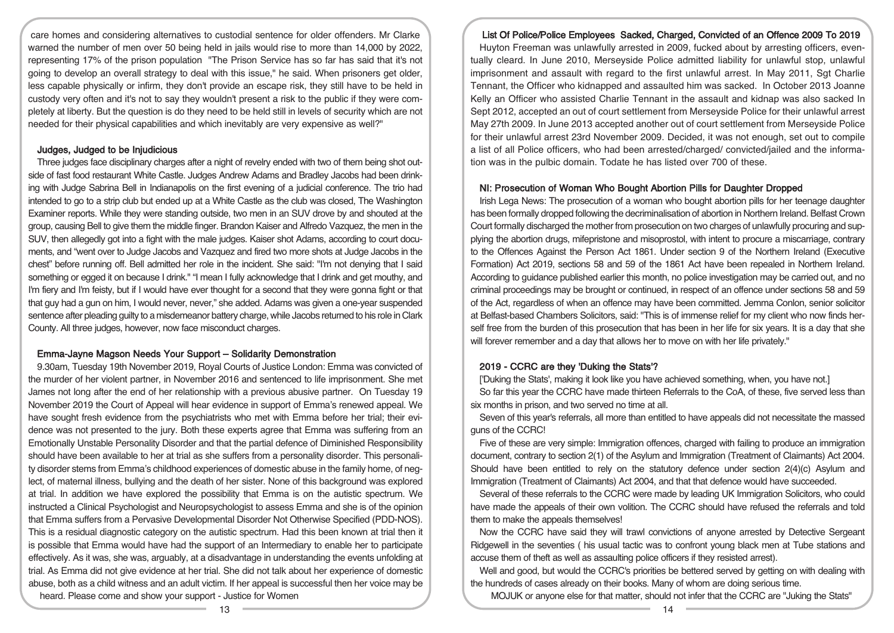care homes and considering alternatives to custodial sentence for older offenders. Mr Clarke warned the number of men over 50 being held in jails would rise to more than 14,000 by 2022, representing 17% of the prison population "The Prison Service has so far has said that it's not going to develop an overall strategy to deal with this issue," he said. When prisoners get older, less capable physically or infirm, they don't provide an escape risk, they still have to be held in custody very often and it's not to say they wouldn't present a risk to the public if they were completely at liberty. But the question is do they need to be held still in levels of security which are not needed for their physical capabilities and which inevitably are very expensive as well?"

## Judges, Judged to be Injudicious

Three judges face disciplinary charges after a night of revelry ended with two of them being shot outside of fast food restaurant White Castle. Judges Andrew Adams and Bradley Jacobs had been drinking with Judge Sabrina Bell in Indianapolis on the first evening of a judicial conference. The trio had intended to go to a strip club but ended up at a White Castle as the club was closed, The Washington Examiner reports. While they were standing outside, two men in an SUV drove by and shouted at the group, causing Bell to give them the middle finger. Brandon Kaiser and Alfredo Vazquez, the men in the SUV, then allegedly got into a fight with the male judges. Kaiser shot Adams, according to court documents, and "went over to Judge Jacobs and Vazquez and fired two more shots at Judge Jacobs in the chest" before running off. Bell admitted her role in the incident. She said: "I'm not denying that I said something or egged it on because I drink." "I mean I fully acknowledge that I drink and get mouthy, and I'm fiery and I'm feisty, but if I would have ever thought for a second that they were gonna fight or that that guy had a gun on him, I would never, never," she added. Adams was given a one-year suspended sentence after pleading guilty to a misdemeanor battery charge, while Jacobs returned to his role in Clark County. All three judges, however, now face misconduct charges.

## Emma-Jayne Magson Needs Your Support – Solidarity Demonstration

9.30am, Tuesday 19th November 2019, Royal Courts of Justice London: Emma was convicted of the murder of her violent partner, in November 2016 and sentenced to life imprisonment. She met James not long after the end of her relationship with a previous abusive partner. On Tuesday 19 November 2019 the Court of Appeal will hear evidence in support of Emma's renewed appeal. We have sought fresh evidence from the psychiatrists who met with Emma before her trial; their evidence was not presented to the jury. Both these experts agree that Emma was suffering from an Emotionally Unstable Personality Disorder and that the partial defence of Diminished Responsibility should have been available to her at trial as she suffers from a personality disorder. This personality disorder stems from Emma's childhood experiences of domestic abuse in the family home, of neglect, of maternal illness, bullying and the death of her sister. None of this background was explored at trial. In addition we have explored the possibility that Emma is on the autistic spectrum. We instructed a Clinical Psychologist and Neuropsychologist to assess Emma and she is of the opinion that Emma suffers from a Pervasive Developmental Disorder Not Otherwise Specified (PDD-NOS). This is a residual diagnostic category on the autistic spectrum. Had this been known at trial then it is possible that Emma would have had the support of an Intermediary to enable her to participate effectively. As it was, she was, arguably, at a disadvantage in understanding the events unfolding at trial. As Emma did not give evidence at her trial. She did not talk about her experience of domestic abuse, both as a child witness and an adult victim. If her appeal is successful then her voice may be heard. Please come and show your support - Justice for Women

## List Of Police/Police Employees Sacked, Charged, Convicted of an Offence 2009 To 2019

Huyton Freeman was unlawfully arrested in 2009, fucked about by arresting officers, eventually cleard. In June 2010, Merseyside Police admitted liability for unlawful stop, unlawful imprisonment and assault with regard to the first unlawful arrest. In May 2011, Sgt Charlie Tennant, the Officer who kidnapped and assaulted him was sacked. In October 2013 Joanne Kelly an Officer who assisted Charlie Tennant in the assault and kidnap was also sacked In Sept 2012, accepted an out of court settlement from Merseyside Police for their unlawful arrest May 27th 2009. In June 2013 accepted another out of court settlement from Merseyside Police for their unlawful arrest 23rd November 2009. Decided, it was not enough, set out to compile a list of all Police officers, who had been arrested/charged/ convicted/jailed and the information was in the pulbic domain. Todate he has listed over 700 of these.

## NI: Prosecution of Woman Who Bought Abortion Pills for Daughter Dropped

Irish Lega News: The prosecution of a woman who bought abortion pills for her teenage daughter has been formally dropped following the decriminalisation of abortion in Northern Ireland. Belfast Crown Court formally discharged the mother from prosecution on two charges of unlawfully procuring and supplying the abortion drugs, mifepristone and misoprostol, with intent to procure a miscarriage, contrary to the Offences Against the Person Act 1861. Under section 9 of the Northern Ireland (Executive Formation) Act 2019, sections 58 and 59 of the 1861 Act have been repealed in Northern Ireland. According to guidance published earlier this month, no police investigation may be carried out, and no criminal proceedings may be brought or continued, in respect of an offence under sections 58 and 59 of the Act, regardless of when an offence may have been committed. Jemma Conlon, senior solicitor at Belfast-based Chambers Solicitors, said: "This is of immense relief for my client who now finds herself free from the burden of this prosecution that has been in her life for six years. It is a day that she will forever remember and a day that allows her to move on with her life privately."

## 2019 - CCRC are they 'Duking the Stats'?

['Duking the Stats', making it look like you have achieved something, when, you have not.]

So far this year the CCRC have made thirteen Referrals to the CoA, of these, five served less than six months in prison, and two served no time at all.

Seven of this year's referrals, all more than entitled to have appeals did not necessitate the massed guns of the CCRC!

Five of these are very simple: Immigration offences, charged with failing to produce an immigration document, contrary to section 2(1) of the Asylum and Immigration (Treatment of Claimants) Act 2004. Should have been entitled to rely on the statutory defence under section 2(4)(c) Asylum and Immigration (Treatment of Claimants) Act 2004, and that that defence would have succeeded.

Several of these referrals to the CCRC were made by leading UK Immigration Solicitors, who could have made the appeals of their own volition. The CCRC should have refused the referrals and told them to make the appeals themselves!

Now the CCRC have said they will trawl convictions of anyone arrested by Detective Sergeant Ridgewell in the seventies ( his usual tactic was to confront young black men at Tube stations and accuse them of theft as well as assaulting police officers if they resisted arrest).

Well and good, but would the CCRC's priorities be bettered served by getting on with dealing with the hundreds of cases already on their books. Many of whom are doing serious time.

MOJUK or anyone else for that matter, should not infer that the CCRC are "Juking the Stats"